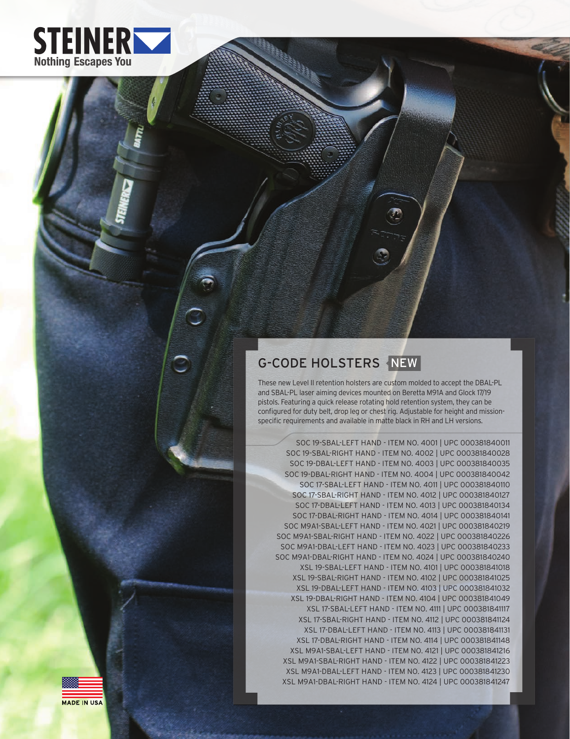

# G-CODE HOLSTERS NEW

These new Level II retention holsters are custom molded to accept the DBAL-PL and SBAL-PL laser aiming devices mounted on Beretta M91A and Glock 17/19 pistols. Featuring a quick release rotating hold retention system, they can be configured for duty belt, drop leg or chest rig. Adjustable for height and missionspecific requirements and available in matte black in RH and LH versions.

SOC 19-SBAL-LEFT HAND - ITEM NO. 4001 | UPC 000381840011 SOC 19-SBAL-RIGHT HAND - ITEM NO. 4002 | UPC 000381840028 SOC 19-DBAL-LEFT HAND - ITEM NO. 4003 | UPC 000381840035 SOC 19-DBAL-RIGHT HAND - ITEM NO. 4004 | UPC 000381840042 SOC 17-SBAL-LEFT HAND - ITEM NO. 4011 | UPC 000381840110 SOC 17-SBAL-RIGHT HAND - ITEM NO. 4012 | UPC 000381840127 SOC 17-DBAL-LEFT HAND - ITEM NO. 4013 | UPC 000381840134 SOC 17-DBAL-RIGHT HAND - ITEM NO. 4014 | UPC 000381840141 SOC M9A1-SBAL-LEFT HAND - ITEM NO. 4021 | UPC 000381840219 SOC M9A1-SBAL-RIGHT HAND - ITEM NO. 4022 | UPC 000381840226 SOC M9A1-DBAL-LEFT HAND - ITEM NO. 4023 | UPC 000381840233 SOC M9A1-DBAL-RIGHT HAND - ITEM NO. 4024 | UPC 000381840240 XSL 19-SBAL-LEFT HAND - ITEM NO. 4101 | UPC 000381841018 XSL 19-SBAL-RIGHT HAND - ITEM NO. 4102 | UPC 000381841025 XSL 19-DBAL-LEFT HAND - ITEM NO. 4103 | UPC 000381841032 XSL 19-DBAL-RIGHT HAND - ITEM NO. 4104 | UPC 000381841049 XSL 17-SBAL-LEFT HAND - ITEM NO. 4111 | UPC 000381841117 XSL 17-SBAL-RIGHT HAND - ITEM NO. 4112 | UPC 000381841124 XSL 17-DBAL-LEFT HAND - ITEM NO. 4113 | UPC 000381841131 XSL 17-DBAL-RIGHT HAND - ITEM NO. 4114 | UPC 000381841148 XSL M9A1-SBAL-LEFT HAND - ITEM NO. 4121 | UPC 000381841216 XSL M9A1-SBAL-RIGHT HAND - ITEM NO. 4122 | UPC 000381841223 XSL M9A1-DBAL-LEFT HAND - ITEM NO. 4123 | UPC 000381841230 XSL M9A1-DBAL-RIGHT HAND - ITEM NO. 4124 | UPC 000381841247